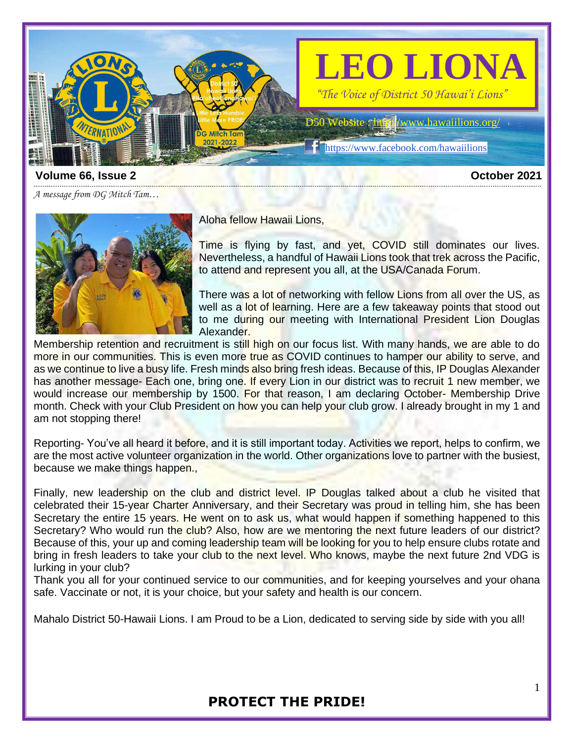

### **Volume 66, Issue 2 October 2021**

*A message from DG Mitch Tam…*



Aloha fellow Hawaii Lions,

Time is flying by fast, and yet, COVID still dominates our lives. Nevertheless, a handful of Hawaii Lions took that trek across the Pacific, to attend and represent you all, at the USA/Canada Forum.

There was a lot of networking with fellow Lions from all over the US, as well as a lot of learning. Here are a few takeaway points that stood out to me during our meeting with International President Lion Douglas Alexander.

Membership retention and recruitment is still high on our focus list. With many hands, we are able to do more in our communities. This is even more true as COVID continues to hamper our ability to serve, and as we continue to live a busy life. Fresh minds also bring fresh ideas. Because of this, IP Douglas Alexander has another message- Each one, bring one. If every Lion in our district was to recruit 1 new member, we would increase our membership by 1500. For that reason, I am declaring October- Membership Drive month. Check with your Club President on how you can help your club grow. I already brought in my 1 and am not stopping there!

Reporting- You've all heard it before, and it is still important today. Activities we report, helps to confirm, we are the most active volunteer organization in the world. Other organizations love to partner with the busiest, because we make things happen.,

Finally, new leadership on the club and district level. IP Douglas talked about a club he visited that celebrated their 15-year Charter Anniversary, and their Secretary was proud in telling him, she has been Secretary the entire 15 years. He went on to ask us, what would happen if something happened to this Secretary? Who would run the club? Also, how are we mentoring the next future leaders of our district? Because of this, your up and coming leadership team will be looking for you to help ensure clubs rotate and bring in fresh leaders to take your club to the next level. Who knows, maybe the next future 2nd VDG is lurking in your club?

Thank you all for your continued service to our communities, and for keeping yourselves and your ohana safe. Vaccinate or not, it is your choice, but your safety and health is our concern.

Mahalo District 50-Hawaii Lions. I am Proud to be a Lion, dedicated to serving side by side with you all!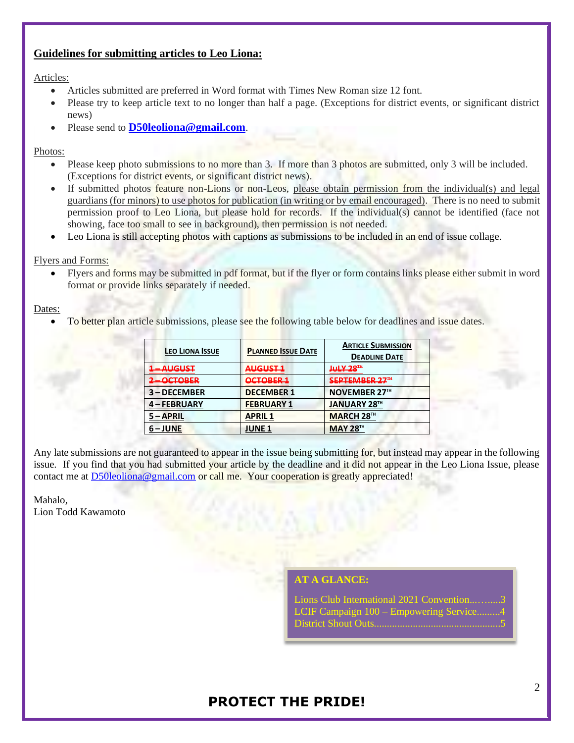## **Guidelines for submitting articles to Leo Liona:**

### Articles:

- Articles submitted are preferred in Word format with Times New Roman size 12 font.
- Please try to keep article text to no longer than half a page. (Exceptions for district events, or significant district news)
- Please send to **[D50leoliona@gmail.com](mailto:D50leoliona@gmail.com)**.

### Photos:

- Please keep photo submissions to no more than 3. If more than 3 photos are submitted, only 3 will be included. (Exceptions for district events, or significant district news).
- If submitted photos feature non-Lions or non-Leos, please obtain permission from the individual(s) and legal guardians (for minors) to use photos for publication (in writing or by email encouraged). There is no need to submit permission proof to Leo Liona, but please hold for records. If the individual(s) cannot be identified (face not showing, face too small to see in background), then permission is not needed.
- Leo Liona is still accepting photos with captions as submissions to be included in an end of issue collage.

#### Flyers and Forms:

Flyers and forms may be submitted in pdf format, but if the flyer or form contains links please either submit in word format or provide links separately if needed.

#### Dates:

To better plan article submissions, please see the following table below for deadlines and issue dates.

| LEO LIONA ISSUE                                                                                                                                                                                                                                            | <b>PLANNED ISSUE DATE</b>                      | <b>ARTICLE SUBMISSION</b><br><b>DEADLINE DATE</b> |
|------------------------------------------------------------------------------------------------------------------------------------------------------------------------------------------------------------------------------------------------------------|------------------------------------------------|---------------------------------------------------|
| <u>1 - ALIGUST</u><br><u>The Country of the Country of the Country of the Country of the Country of the Country of the Country of the Country of the Country of the Country of the Country of the Country of the Country of the Country of the Country</u> | ALIGUST <sub>1</sub><br><del>.</del>           | Jul V 20TH<br>-------                             |
| 2 - OCTORED<br>$\overline{\phantom{a}}$                                                                                                                                                                                                                    | <u>OCTORED 1</u><br><u>Extra External Base</u> | CEDTEMRED 77 <del>™</del><br>--------------       |
| 3-DECEMBER                                                                                                                                                                                                                                                 | <b>DECEMBER 1</b>                              | <b>NOVEMBER 27™</b>                               |
| 4 – FEBRUARY                                                                                                                                                                                                                                               | <b>FEBRUARY 1</b>                              | <b>JANUARY 28TH</b>                               |
| 5-APRIL                                                                                                                                                                                                                                                    | <b>APRIL1</b>                                  | <b>MARCH 28™</b>                                  |
| $6 - JUNE$                                                                                                                                                                                                                                                 | <b>JUNE 1</b>                                  | <b>MAY 28TH</b>                                   |

Any late submissions are not guaranteed to appear in the issue being submitting for, but instead may appear in the following issue. If you find that you had submitted your article by the deadline and it did not appear in the Leo Liona Issue, please contact me at [D50leoliona@gmail.com](mailto:D50leoliona@gmail.com) or call me. Your cooperation is greatly appreciated!

Mahalo, Lion Todd Kawamoto

## **A GLANCE:**

Lions Club International 2021 Convention LCIF Campaign 100 – Empowering Service. District Shout Outs.................................................5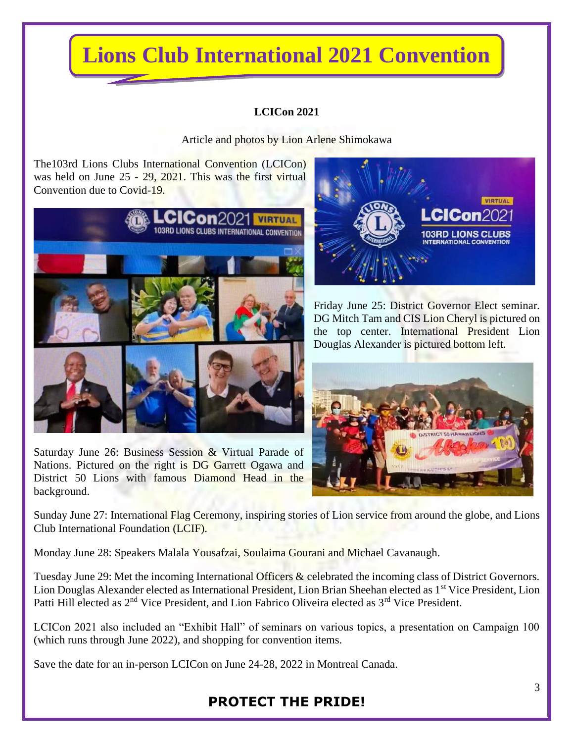# **Lions Club International 2021 Convention**

## **LCICon 2021**

Article and photos by Lion Arlene Shimokawa

The103rd Lions Clubs International Convention (LCICon) was held on June 25 - 29, 2021. This was the first virtual Convention due to Covid-19.







Friday June 25: District Governor Elect seminar. DG Mitch Tam and CIS Lion Cheryl is pictured on the top center. International President Lion Douglas Alexander is pictured bottom left.



Sunday June 27: International Flag Ceremony, inspiring stories of Lion service from around the globe, and Lions Club International Foundation (LCIF).

Monday June 28: Speakers Malala Yousafzai, Soulaima Gourani and Michael Cavanaugh.

Tuesday June 29: Met the incoming International Officers & celebrated the incoming class of District Governors. Lion Douglas Alexander elected as International President, Lion Brian Sheehan elected as 1<sup>st</sup> Vice President, Lion Patti Hill elected as 2<sup>nd</sup> Vice President, and Lion Fabrico Oliveira elected as 3<sup>rd</sup> Vice President.

LCICon 2021 also included an "Exhibit Hall" of seminars on various topics, a presentation on Campaign 100 (which runs through June 2022), and shopping for convention items.

Save the date for an in-person LCICon on June 24-28, 2022 in Montreal Canada.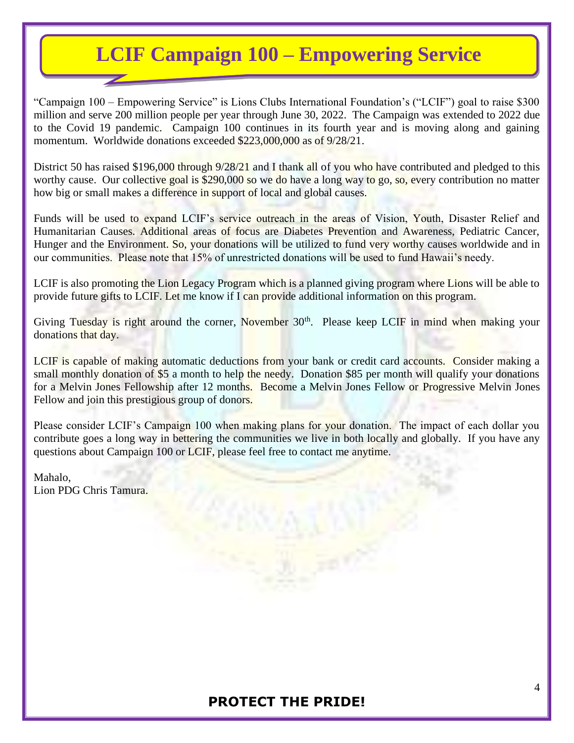# **LCIF Campaign 100 – Empowering Service**

"Campaign 100 – Empowering Service" is Lions Clubs International Foundation's ("LCIF") goal to raise \$300 million and serve 200 million people per year through June 30, 2022. The Campaign was extended to 2022 due to the Covid 19 pandemic. Campaign 100 continues in its fourth year and is moving along and gaining momentum. Worldwide donations exceeded \$223,000,000 as of 9/28/21.

District 50 has raised \$196,000 through 9/28/21 and I thank all of you who have contributed and pledged to this worthy cause. Our collective goal is \$290,000 so we do have a long way to go, so, every contribution no matter how big or small makes a difference in support of local and global causes.

Funds will be used to expand LCIF's service outreach in the areas of Vision, Youth, Disaster Relief and Humanitarian Causes. Additional areas of focus are Diabetes Prevention and Awareness, Pediatric Cancer, Hunger and the Environment. So, your donations will be utilized to fund very worthy causes worldwide and in our communities. Please note that 15% of unrestricted donations will be used to fund Hawaii's needy.

LCIF is also promoting the Lion Legacy Program which is a planned giving program where Lions will be able to provide future gifts to LCIF. Let me know if I can provide additional information on this program.

Giving Tuesday is right around the corner, November 30<sup>th</sup>. Please keep LCIF in mind when making your donations that day.

LCIF is capable of making automatic deductions from your bank or credit card accounts. Consider making a small monthly donation of \$5 a month to help the needy. Donation \$85 per month will qualify your donations for a Melvin Jones Fellowship after 12 months. Become a Melvin Jones Fellow or Progressive Melvin Jones Fellow and join this prestigious group of donors.

Please consider LCIF's Campaign 100 when making plans for your donation. The impact of each dollar you contribute goes a long way in bettering the communities we live in both locally and globally. If you have any questions about Campaign 100 or LCIF, please feel free to contact me anytime.

Mahalo, Lion PDG Chris Tamura.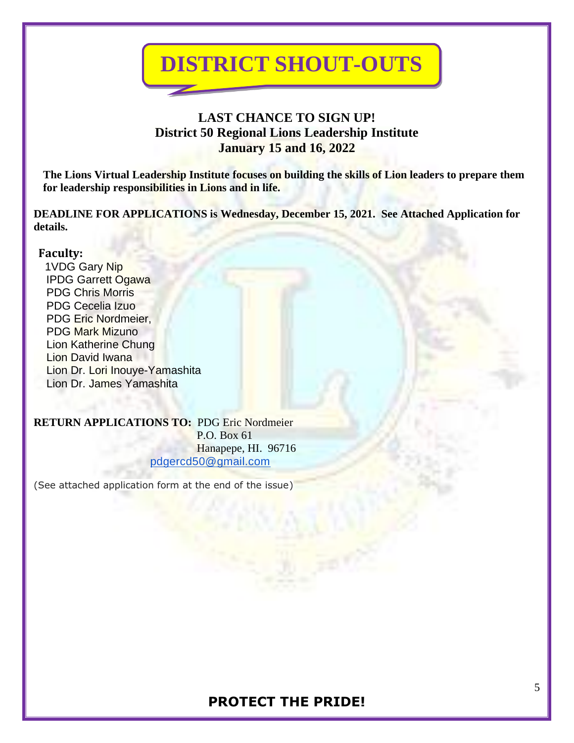

# **LAST CHANCE TO SIGN UP! District 50 Regional Lions Leadership Institute January 15 and 16, 2022**

**The Lions Virtual Leadership Institute focuses on building the skills of Lion leaders to prepare them for leadership responsibilities in Lions and in life.**

**DEADLINE FOR APPLICATIONS is Wednesday, December 15, 2021. See Attached Application for details.**

## **Faculty:**

 1VDG Gary Nip IPDG Garrett Ogawa PDG Chris Morris PDG Cecelia Izuo PDG Eric Nordmeier, PDG Mark Mizuno Lion Katherine Chung Lion David Iwana Lion Dr. Lori Inouye-Yamashita Lion Dr. James Yamashita

**RETURN APPLICATIONS TO:** PDG Eric Nordmeier P.O. Box 61 Hanapepe, HI. 96716 [pdgercd50@gmail.com](mailto:pdgercd50@gmail.com)

(See attached application form at the end of the issue)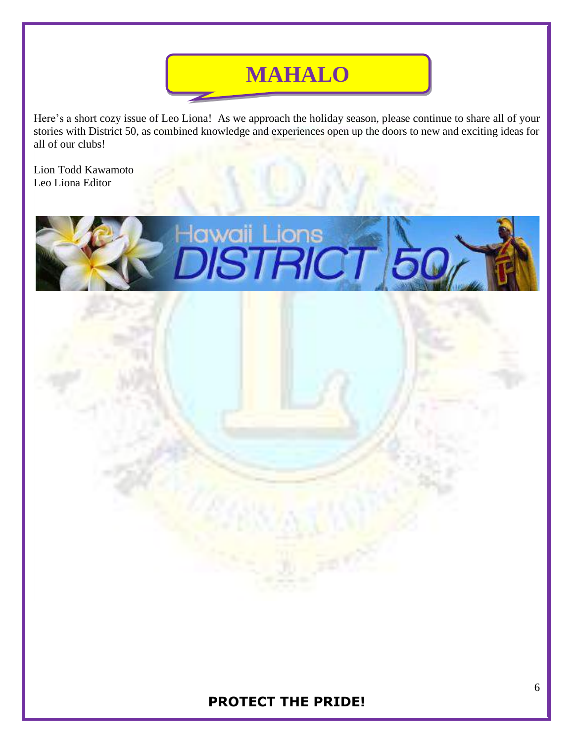# **MAHALO**

Here's a short cozy issue of Leo Liona! As we approach the holiday season, please continue to share all of your stories with District 50, as combined knowledge and experiences open up the doors to new and exciting ideas for all of our clubs!

Lion Todd Kawamoto Leo Liona Editor

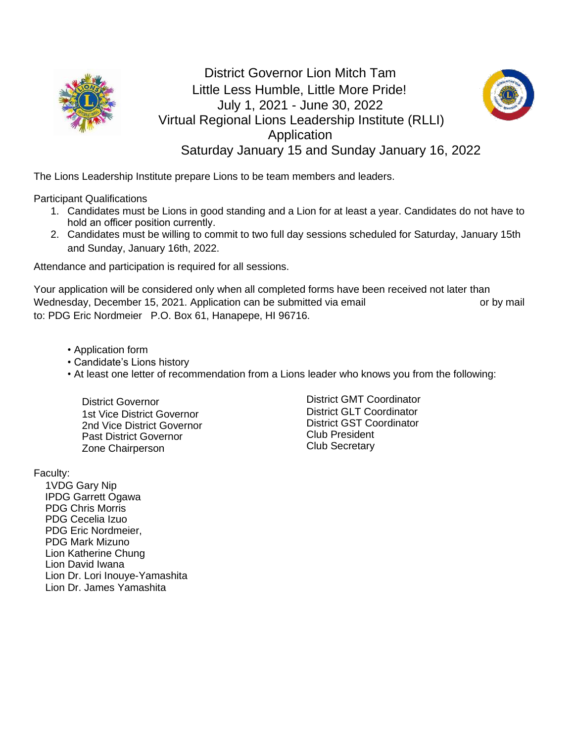

# District Governor Lion Mitch Tam Little Less Humble, Little More Pride! July 1, 2021 - June 30, 2022 Virtual Regional Lions Leadership Institute (RLLI) **Application** Saturday January 15 and Sunday January 16, 2022



The Lions Leadership Institute prepare Lions to be team members and leaders.

Participant Qualifications

- 1. Candidates must be Lions in good standing and a Lion for at least a year. Candidates do not have to hold an officer position currently.
- 2. Candidates must be willing to commit to two full day sessions scheduled for Saturday, January 15th and Sunday, January 16th, 2022.

Attendance and participation is required for all sessions.

Your application will be considered only when all completed forms have been received not later than Wednesday, December 15, 2021. Application can be submitted via email **providents** or by mail. to: PDG Eric Nordmeier P.O. Box 61, Hanapepe, HI 96716.

- Application form
- Candidate's Lions history
- At least one letter of recommendation from a Lions leader who knows you from the following:

 District Governor 1st Vice District Governor 2nd Vice District Governor Past District Governor Zone Chairperson

District GMT Coordinator District GLT Coordinator District GST Coordinator Club President Club Secretary

Faculty:

 1VDG Gary Nip IPDG Garrett Ogawa PDG Chris Morris PDG Cecelia Izuo PDG Eric Nordmeier, PDG Mark Mizuno Lion Katherine Chung Lion David Iwana Lion Dr. Lori Inouye-Yamashita Lion Dr. James Yamashita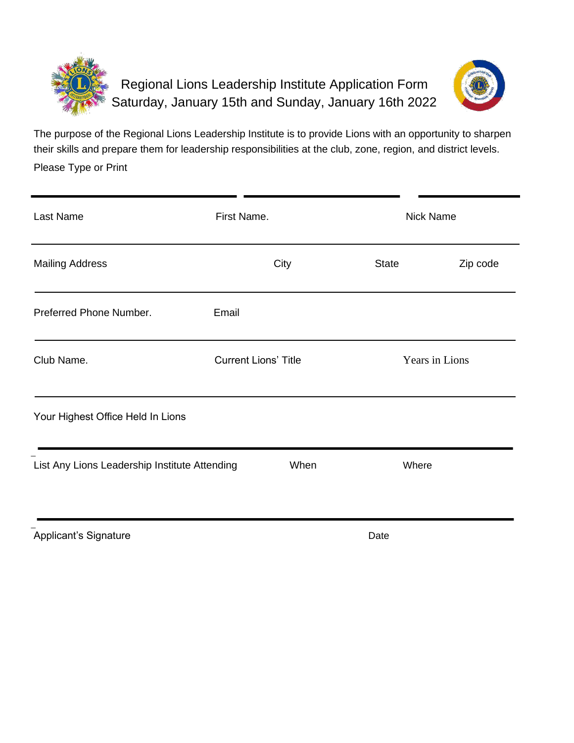



The purpose of the Regional Lions Leadership Institute is to provide Lions with an opportunity to sharpen their skills and prepare them for leadership responsibilities at the club, zone, region, and district levels. Please Type or Print

| Last Name                                     | First Name.                 |                | Nick Name |  |
|-----------------------------------------------|-----------------------------|----------------|-----------|--|
| <b>Mailing Address</b>                        | City                        | <b>State</b>   | Zip code  |  |
| Preferred Phone Number.                       | Email                       |                |           |  |
| Club Name.                                    | <b>Current Lions' Title</b> | Years in Lions |           |  |
| Your Highest Office Held In Lions             |                             |                |           |  |
| List Any Lions Leadership Institute Attending | When                        | Where          |           |  |
|                                               |                             |                |           |  |

Applicant's Signature  $\qquad \qquad$